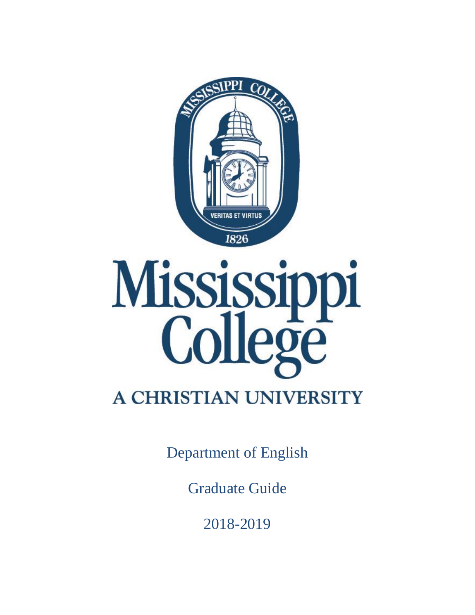



# **A CHRISTIAN UNIVERSITY**

Department of English

Graduate Guide

2018-2019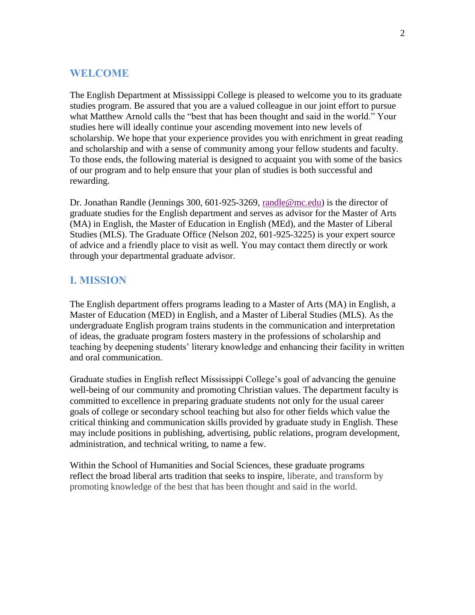## **WELCOME**

The English Department at Mississippi College is pleased to welcome you to its graduate studies program. Be assured that you are a valued colleague in our joint effort to pursue what Matthew Arnold calls the "best that has been thought and said in the world." Your studies here will ideally continue your ascending movement into new levels of scholarship. We hope that your experience provides you with enrichment in great reading and scholarship and with a sense of community among your fellow students and faculty. To those ends, the following material is designed to acquaint you with some of the basics of our program and to help ensure that your plan of studies is both successful and rewarding.

Dr. Jonathan Randle (Jennings 300, 601-925-3269, [randle@mc.edu\)](mailto:randle@mc.edu) is the director of graduate studies for the English department and serves as advisor for the Master of Arts (MA) in English, the Master of Education in English (MEd), and the Master of Liberal Studies (MLS). The Graduate Office (Nelson 202, 601-925-3225) is your expert source of advice and a friendly place to visit as well. You may contact them directly or work through your departmental graduate advisor.

# **I. MISSION**

The English department offers programs leading to a Master of Arts (MA) in English, a Master of Education (MED) in English, and a Master of Liberal Studies (MLS). As the undergraduate English program trains students in the communication and interpretation of ideas, the graduate program fosters mastery in the professions of scholarship and teaching by deepening students' literary knowledge and enhancing their facility in written and oral communication.

Graduate studies in English reflect Mississippi College's goal of advancing the genuine well-being of our community and promoting Christian values. The department faculty is committed to excellence in preparing graduate students not only for the usual career goals of college or secondary school teaching but also for other fields which value the critical thinking and communication skills provided by graduate study in English. These may include positions in publishing, advertising, public relations, program development, administration, and technical writing, to name a few.

Within the School of Humanities and Social Sciences, these graduate programs reflect the broad liberal arts tradition that seeks to inspire, liberate, and transform by promoting knowledge of the best that has been thought and said in the world.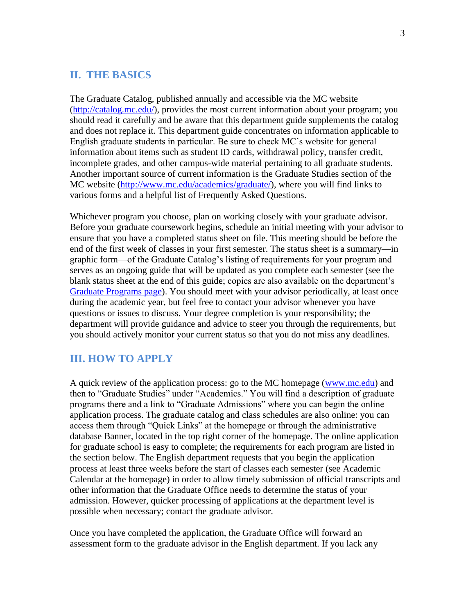## **II. THE BASICS**

The Graduate Catalog, published annually and accessible via the MC website [\(http://catalog.mc.edu/\)](http://catalog.mc.edu/), provides the most current information about your program; you should read it carefully and be aware that this department guide supplements the catalog and does not replace it. This department guide concentrates on information applicable to English graduate students in particular. Be sure to check MC's website for general information about items such as student ID cards, withdrawal policy, transfer credit, incomplete grades, and other campus-wide material pertaining to all graduate students. Another important source of current information is the Graduate Studies section of the MC website [\(http://www.mc.edu/academics/graduate/\)](http://www.mc.edu/academics/graduate/), where you will find links to various forms and a helpful list of Frequently Asked Questions.

Whichever program you choose, plan on working closely with your graduate advisor. Before your graduate coursework begins, schedule an initial meeting with your advisor to ensure that you have a completed status sheet on file. This meeting should be before the end of the first week of classes in your first semester. The status sheet is a summary—in graphic form—of the Graduate Catalog's listing of requirements for your program and serves as an ongoing guide that will be updated as you complete each semester (see the blank status sheet at the end of this guide; copies are also available on the department's [Graduate Programs page\)](https://www.mc.edu/academics/departments/english/graduate-programs). You should meet with your advisor periodically, at least once during the academic year, but feel free to contact your advisor whenever you have questions or issues to discuss. Your degree completion is your responsibility; the department will provide guidance and advice to steer you through the requirements, but you should actively monitor your current status so that you do not miss any deadlines.

## **III. HOW TO APPLY**

A quick review of the application process: go to the MC homepage [\(www.mc.edu\)](http://www.mc.edu/) and then to "Graduate Studies" under "Academics." You will find a description of graduate programs there and a link to "Graduate Admissions" where you can begin the online application process. The graduate catalog and class schedules are also online: you can access them through "Quick Links" at the homepage or through the administrative database Banner, located in the top right corner of the homepage. The online application for graduate school is easy to complete; the requirements for each program are listed in the section below. The English department requests that you begin the application process at least three weeks before the start of classes each semester (see Academic Calendar at the homepage) in order to allow timely submission of official transcripts and other information that the Graduate Office needs to determine the status of your admission. However, quicker processing of applications at the department level is possible when necessary; contact the graduate advisor.

Once you have completed the application, the Graduate Office will forward an assessment form to the graduate advisor in the English department. If you lack any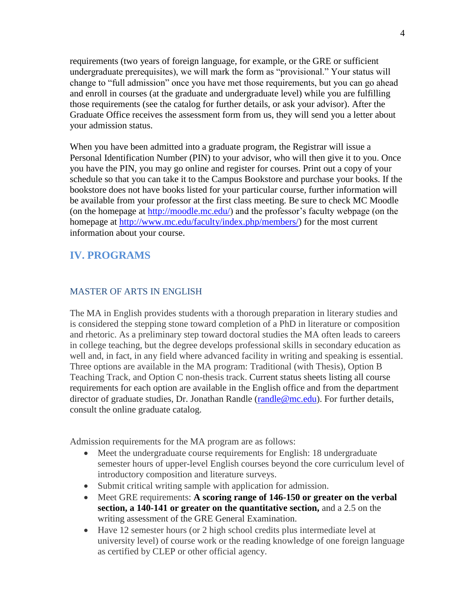requirements (two years of foreign language, for example, or the GRE or sufficient undergraduate prerequisites), we will mark the form as "provisional." Your status will change to "full admission" once you have met those requirements, but you can go ahead and enroll in courses (at the graduate and undergraduate level) while you are fulfilling those requirements (see the catalog for further details, or ask your advisor). After the Graduate Office receives the assessment form from us, they will send you a letter about your admission status.

When you have been admitted into a graduate program, the Registrar will issue a Personal Identification Number (PIN) to your advisor, who will then give it to you. Once you have the PIN, you may go online and register for courses. Print out a copy of your schedule so that you can take it to the Campus Bookstore and purchase your books. If the bookstore does not have books listed for your particular course, further information will be available from your professor at the first class meeting. Be sure to check MC Moodle (on the homepage at [http://moodle.mc.edu/\)](http://moodle.mc.edu/) and the professor's faculty webpage (on the homepage at [http://www.mc.edu/faculty/index.php/members/\)](http://www.mc.edu/faculty/index.php/members/) for the most current information about your course.

# **IV. PROGRAMS**

#### MASTER OF ARTS IN ENGLISH

The MA in English provides students with a thorough preparation in literary studies and is considered the stepping stone toward completion of a PhD in literature or composition and rhetoric. As a preliminary step toward doctoral studies the MA often leads to careers in college teaching, but the degree develops professional skills in secondary education as well and, in fact, in any field where advanced facility in writing and speaking is essential. Three options are available in the MA program: Traditional (with Thesis), Option B Teaching Track, and Option C non-thesis track. Current status sheets listing all course requirements for each option are available in the English office and from the department director of graduate studies, Dr. Jonathan Randle [\(randle@mc.edu\)](mailto:randle@mc.edu). For further details, consult the online graduate catalog.

Admission requirements for the MA program are as follows:

- Meet the undergraduate course requirements for English: 18 undergraduate semester hours of upper-level English courses beyond the core curriculum level of introductory composition and literature surveys.
- Submit critical writing sample with application for admission.
- Meet GRE requirements: **A scoring range of 146-150 or greater on the verbal section, a 140-141 or greater on the quantitative section,** and a 2.5 on the writing assessment of the GRE General Examination.
- Have 12 semester hours (or 2 high school credits plus intermediate level at university level) of course work or the reading knowledge of one foreign language as certified by CLEP or other official agency.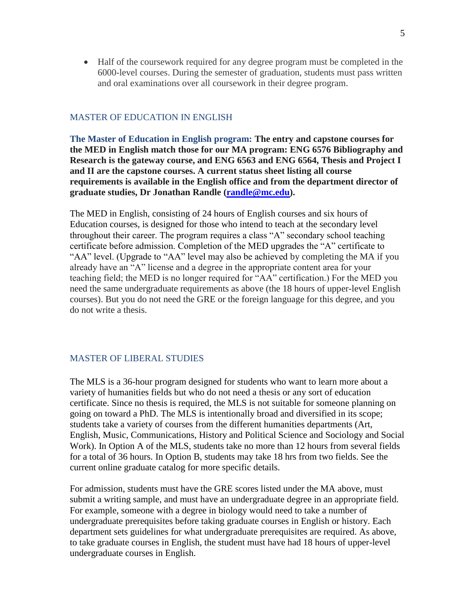Half of the coursework required for any degree program must be completed in the 6000-level courses. During the semester of graduation, students must pass written and oral examinations over all coursework in their degree program.

#### MASTER OF EDUCATION IN ENGLISH

**The Master of Education in English program: The entry and capstone courses for the MED in English match those for our MA program: ENG 6576 Bibliography and Research is the gateway course, and ENG 6563 and ENG 6564, Thesis and Project I and II are the capstone courses. A current status sheet listing all course requirements is available in the English office and from the department director of graduate studies, Dr Jonathan Randle [\(randle@mc.edu\)](mailto:randle@mc.edu).** 

The MED in English, consisting of 24 hours of English courses and six hours of Education courses, is designed for those who intend to teach at the secondary level throughout their career. The program requires a class "A" secondary school teaching certificate before admission. Completion of the MED upgrades the "A" certificate to "AA" level. (Upgrade to "AA" level may also be achieved by completing the MA if you already have an "A" license and a degree in the appropriate content area for your teaching field; the MED is no longer required for "AA" certification.) For the MED you need the same undergraduate requirements as above (the 18 hours of upper-level English courses). But you do not need the GRE or the foreign language for this degree, and you do not write a thesis.

#### MASTER OF LIBERAL STUDIES

The MLS is a 36-hour program designed for students who want to learn more about a variety of humanities fields but who do not need a thesis or any sort of education certificate. Since no thesis is required, the MLS is not suitable for someone planning on going on toward a PhD. The MLS is intentionally broad and diversified in its scope; students take a variety of courses from the different humanities departments (Art, English, Music, Communications, History and Political Science and Sociology and Social Work). In Option A of the MLS, students take no more than 12 hours from several fields for a total of 36 hours. In Option B, students may take 18 hrs from two fields. See the current online graduate catalog for more specific details.

For admission, students must have the GRE scores listed under the MA above, must submit a writing sample, and must have an undergraduate degree in an appropriate field. For example, someone with a degree in biology would need to take a number of undergraduate prerequisites before taking graduate courses in English or history. Each department sets guidelines for what undergraduate prerequisites are required. As above, to take graduate courses in English, the student must have had 18 hours of upper-level undergraduate courses in English.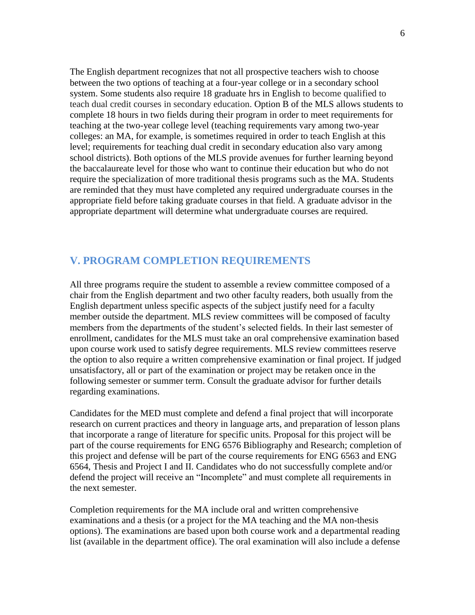The English department recognizes that not all prospective teachers wish to choose between the two options of teaching at a four-year college or in a secondary school system. Some students also require 18 graduate hrs in English to become qualified to teach dual credit courses in secondary education. Option B of the MLS allows students to complete 18 hours in two fields during their program in order to meet requirements for teaching at the two-year college level (teaching requirements vary among two-year colleges: an MA, for example, is sometimes required in order to teach English at this level; requirements for teaching dual credit in secondary education also vary among school districts). Both options of the MLS provide avenues for further learning beyond the baccalaureate level for those who want to continue their education but who do not require the specialization of more traditional thesis programs such as the MA. Students are reminded that they must have completed any required undergraduate courses in the appropriate field before taking graduate courses in that field. A graduate advisor in the appropriate department will determine what undergraduate courses are required.

## **V. PROGRAM COMPLETION REQUIREMENTS**

All three programs require the student to assemble a review committee composed of a chair from the English department and two other faculty readers, both usually from the English department unless specific aspects of the subject justify need for a faculty member outside the department. MLS review committees will be composed of faculty members from the departments of the student's selected fields. In their last semester of enrollment, candidates for the MLS must take an oral comprehensive examination based upon course work used to satisfy degree requirements. MLS review committees reserve the option to also require a written comprehensive examination or final project. If judged unsatisfactory, all or part of the examination or project may be retaken once in the following semester or summer term. Consult the graduate advisor for further details regarding examinations.

Candidates for the MED must complete and defend a final project that will incorporate research on current practices and theory in language arts, and preparation of lesson plans that incorporate a range of literature for specific units. Proposal for this project will be part of the course requirements for ENG 6576 Bibliography and Research; completion of this project and defense will be part of the course requirements for ENG 6563 and ENG 6564, Thesis and Project I and II. Candidates who do not successfully complete and/or defend the project will receive an "Incomplete" and must complete all requirements in the next semester.

Completion requirements for the MA include oral and written comprehensive examinations and a thesis (or a project for the MA teaching and the MA non-thesis options). The examinations are based upon both course work and a departmental reading list (available in the department office). The oral examination will also include a defense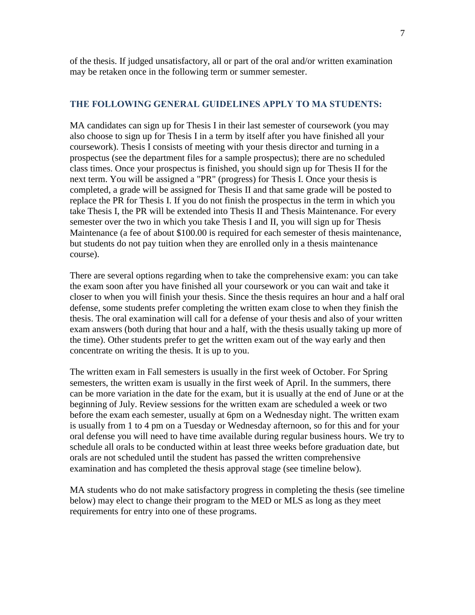of the thesis. If judged unsatisfactory, all or part of the oral and/or written examination may be retaken once in the following term or summer semester.

#### **THE FOLLOWING GENERAL GUIDELINES APPLY TO MA STUDENTS:**

MA candidates can sign up for Thesis I in their last semester of coursework (you may also choose to sign up for Thesis I in a term by itself after you have finished all your coursework). Thesis I consists of meeting with your thesis director and turning in a prospectus (see the department files for a sample prospectus); there are no scheduled class times. Once your prospectus is finished, you should sign up for Thesis II for the next term. You will be assigned a "PR" (progress) for Thesis I. Once your thesis is completed, a grade will be assigned for Thesis II and that same grade will be posted to replace the PR for Thesis I. If you do not finish the prospectus in the term in which you take Thesis I, the PR will be extended into Thesis II and Thesis Maintenance. For every semester over the two in which you take Thesis I and II, you will sign up for Thesis Maintenance (a fee of about \$100.00 is required for each semester of thesis maintenance, but students do not pay tuition when they are enrolled only in a thesis maintenance course).

There are several options regarding when to take the comprehensive exam: you can take the exam soon after you have finished all your coursework or you can wait and take it closer to when you will finish your thesis. Since the thesis requires an hour and a half oral defense, some students prefer completing the written exam close to when they finish the thesis. The oral examination will call for a defense of your thesis and also of your written exam answers (both during that hour and a half, with the thesis usually taking up more of the time). Other students prefer to get the written exam out of the way early and then concentrate on writing the thesis. It is up to you.

The written exam in Fall semesters is usually in the first week of October. For Spring semesters, the written exam is usually in the first week of April. In the summers, there can be more variation in the date for the exam, but it is usually at the end of June or at the beginning of July. Review sessions for the written exam are scheduled a week or two before the exam each semester, usually at 6pm on a Wednesday night. The written exam is usually from 1 to 4 pm on a Tuesday or Wednesday afternoon, so for this and for your oral defense you will need to have time available during regular business hours. We try to schedule all orals to be conducted within at least three weeks before graduation date, but orals are not scheduled until the student has passed the written comprehensive examination and has completed the thesis approval stage (see timeline below).

MA students who do not make satisfactory progress in completing the thesis (see timeline below) may elect to change their program to the MED or MLS as long as they meet requirements for entry into one of these programs.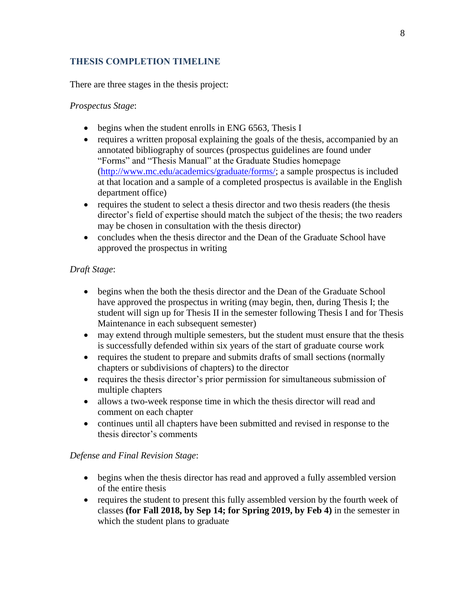## **THESIS COMPLETION TIMELINE**

There are three stages in the thesis project:

## *Prospectus Stage*:

- begins when the student enrolls in ENG 6563, Thesis I
- requires a written proposal explaining the goals of the thesis, accompanied by an annotated bibliography of sources (prospectus guidelines are found under "Forms" and "Thesis Manual" at the Graduate Studies homepage [\(http://www.mc.edu/academics/graduate/forms/;](http://www.mc.edu/academics/graduate/forms/) a sample prospectus is included at that location and a sample of a completed prospectus is available in the English department office)
- requires the student to select a thesis director and two thesis readers (the thesis director's field of expertise should match the subject of the thesis; the two readers may be chosen in consultation with the thesis director)
- concludes when the thesis director and the Dean of the Graduate School have approved the prospectus in writing

## *Draft Stage*:

- begins when the both the thesis director and the Dean of the Graduate School have approved the prospectus in writing (may begin, then, during Thesis I; the student will sign up for Thesis II in the semester following Thesis I and for Thesis Maintenance in each subsequent semester)
- may extend through multiple semesters, but the student must ensure that the thesis is successfully defended within six years of the start of graduate course work
- requires the student to prepare and submits drafts of small sections (normally chapters or subdivisions of chapters) to the director
- requires the thesis director's prior permission for simultaneous submission of multiple chapters
- allows a two-week response time in which the thesis director will read and comment on each chapter
- continues until all chapters have been submitted and revised in response to the thesis director's comments

## *Defense and Final Revision Stage*:

- begins when the thesis director has read and approved a fully assembled version of the entire thesis
- requires the student to present this fully assembled version by the fourth week of classes **(for Fall 2018, by Sep 14; for Spring 2019, by Feb 4)** in the semester in which the student plans to graduate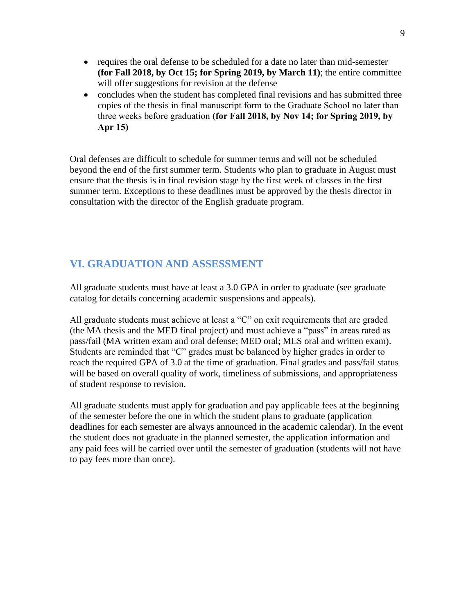- requires the oral defense to be scheduled for a date no later than mid-semester **(for Fall 2018, by Oct 15; for Spring 2019, by March 11)**; the entire committee will offer suggestions for revision at the defense
- concludes when the student has completed final revisions and has submitted three copies of the thesis in final manuscript form to the Graduate School no later than three weeks before graduation **(for Fall 2018, by Nov 14; for Spring 2019, by Apr 15)**

Oral defenses are difficult to schedule for summer terms and will not be scheduled beyond the end of the first summer term. Students who plan to graduate in August must ensure that the thesis is in final revision stage by the first week of classes in the first summer term. Exceptions to these deadlines must be approved by the thesis director in consultation with the director of the English graduate program.

# **VI. GRADUATION AND ASSESSMENT**

All graduate students must have at least a 3.0 GPA in order to graduate (see graduate catalog for details concerning academic suspensions and appeals).

All graduate students must achieve at least a "C" on exit requirements that are graded (the MA thesis and the MED final project) and must achieve a "pass" in areas rated as pass/fail (MA written exam and oral defense; MED oral; MLS oral and written exam). Students are reminded that "C" grades must be balanced by higher grades in order to reach the required GPA of 3.0 at the time of graduation. Final grades and pass/fail status will be based on overall quality of work, timeliness of submissions, and appropriateness of student response to revision.

All graduate students must apply for graduation and pay applicable fees at the beginning of the semester before the one in which the student plans to graduate (application deadlines for each semester are always announced in the academic calendar). In the event the student does not graduate in the planned semester, the application information and any paid fees will be carried over until the semester of graduation (students will not have to pay fees more than once).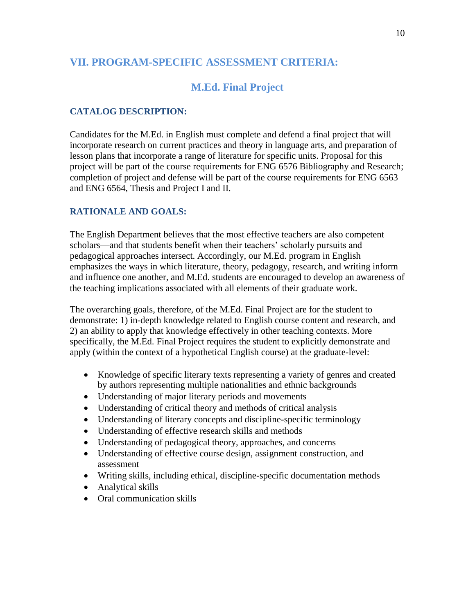# **VII. PROGRAM-SPECIFIC ASSESSMENT CRITERIA:**

# **M.Ed. Final Project**

## **CATALOG DESCRIPTION:**

Candidates for the M.Ed. in English must complete and defend a final project that will incorporate research on current practices and theory in language arts, and preparation of lesson plans that incorporate a range of literature for specific units. Proposal for this project will be part of the course requirements for ENG 6576 Bibliography and Research; completion of project and defense will be part of the course requirements for ENG 6563 and ENG 6564, Thesis and Project I and II.

### **RATIONALE AND GOALS:**

The English Department believes that the most effective teachers are also competent scholars—and that students benefit when their teachers' scholarly pursuits and pedagogical approaches intersect. Accordingly, our M.Ed. program in English emphasizes the ways in which literature, theory, pedagogy, research, and writing inform and influence one another, and M.Ed. students are encouraged to develop an awareness of the teaching implications associated with all elements of their graduate work.

The overarching goals, therefore, of the M.Ed. Final Project are for the student to demonstrate: 1) in-depth knowledge related to English course content and research, and 2) an ability to apply that knowledge effectively in other teaching contexts. More specifically, the M.Ed. Final Project requires the student to explicitly demonstrate and apply (within the context of a hypothetical English course) at the graduate-level:

- Knowledge of specific literary texts representing a variety of genres and created by authors representing multiple nationalities and ethnic backgrounds
- Understanding of major literary periods and movements
- Understanding of critical theory and methods of critical analysis
- Understanding of literary concepts and discipline-specific terminology
- Understanding of effective research skills and methods
- Understanding of pedagogical theory, approaches, and concerns
- Understanding of effective course design, assignment construction, and assessment
- Writing skills, including ethical, discipline-specific documentation methods
- Analytical skills
- Oral communication skills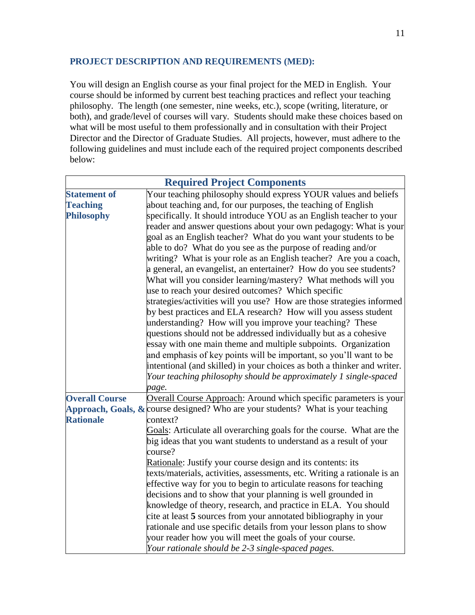# **PROJECT DESCRIPTION AND REQUIREMENTS (MED):**

You will design an English course as your final project for the MED in English. Your course should be informed by current best teaching practices and reflect your teaching philosophy. The length (one semester, nine weeks, etc.), scope (writing, literature, or both), and grade/level of courses will vary. Students should make these choices based on what will be most useful to them professionally and in consultation with their Project Director and the Director of Graduate Studies. All projects, however, must adhere to the following guidelines and must include each of the required project components described below:

| <b>Required Project Components</b> |                                                                                                                              |  |  |  |  |  |
|------------------------------------|------------------------------------------------------------------------------------------------------------------------------|--|--|--|--|--|
| <b>Statement of</b>                | Your teaching philosophy should express YOUR values and beliefs                                                              |  |  |  |  |  |
| <b>Teaching</b>                    | about teaching and, for our purposes, the teaching of English                                                                |  |  |  |  |  |
| <b>Philosophy</b>                  | specifically. It should introduce YOU as an English teacher to your                                                          |  |  |  |  |  |
|                                    | reader and answer questions about your own pedagogy: What is your                                                            |  |  |  |  |  |
|                                    | goal as an English teacher? What do you want your students to be                                                             |  |  |  |  |  |
|                                    | able to do? What do you see as the purpose of reading and/or                                                                 |  |  |  |  |  |
|                                    | writing? What is your role as an English teacher? Are you a coach,                                                           |  |  |  |  |  |
|                                    | a general, an evangelist, an entertainer? How do you see students?                                                           |  |  |  |  |  |
|                                    | What will you consider learning/mastery? What methods will you                                                               |  |  |  |  |  |
|                                    | use to reach your desired outcomes? Which specific                                                                           |  |  |  |  |  |
|                                    | strategies/activities will you use? How are those strategies informed                                                        |  |  |  |  |  |
|                                    | by best practices and ELA research? How will you assess student                                                              |  |  |  |  |  |
|                                    | understanding? How will you improve your teaching? These                                                                     |  |  |  |  |  |
|                                    | questions should not be addressed individually but as a cohesive                                                             |  |  |  |  |  |
|                                    | essay with one main theme and multiple subpoints. Organization                                                               |  |  |  |  |  |
|                                    | and emphasis of key points will be important, so you'll want to be                                                           |  |  |  |  |  |
|                                    | intentional (and skilled) in your choices as both a thinker and writer.                                                      |  |  |  |  |  |
|                                    | Your teaching philosophy should be approximately 1 single-spaced                                                             |  |  |  |  |  |
|                                    | page.                                                                                                                        |  |  |  |  |  |
| <b>Overall Course</b>              | Overall Course Approach: Around which specific parameters is your                                                            |  |  |  |  |  |
|                                    | <b>Approach, Goals, &amp; course designed?</b> Who are your students? What is your teaching                                  |  |  |  |  |  |
| <b>Rationale</b>                   | context?                                                                                                                     |  |  |  |  |  |
|                                    | Goals: Articulate all overarching goals for the course. What are the                                                         |  |  |  |  |  |
|                                    | big ideas that you want students to understand as a result of your                                                           |  |  |  |  |  |
|                                    | course?                                                                                                                      |  |  |  |  |  |
|                                    | Rationale: Justify your course design and its contents: its                                                                  |  |  |  |  |  |
|                                    | texts/materials, activities, assessments, etc. Writing a rationale is an                                                     |  |  |  |  |  |
|                                    | effective way for you to begin to articulate reasons for teaching                                                            |  |  |  |  |  |
|                                    | decisions and to show that your planning is well grounded in                                                                 |  |  |  |  |  |
|                                    | knowledge of theory, research, and practice in ELA. You should                                                               |  |  |  |  |  |
|                                    | cite at least 5 sources from your annotated bibliography in your                                                             |  |  |  |  |  |
|                                    | rationale and use specific details from your lesson plans to show<br>your reader how you will meet the goals of your course. |  |  |  |  |  |
|                                    |                                                                                                                              |  |  |  |  |  |
|                                    | Your rationale should be 2-3 single-spaced pages.                                                                            |  |  |  |  |  |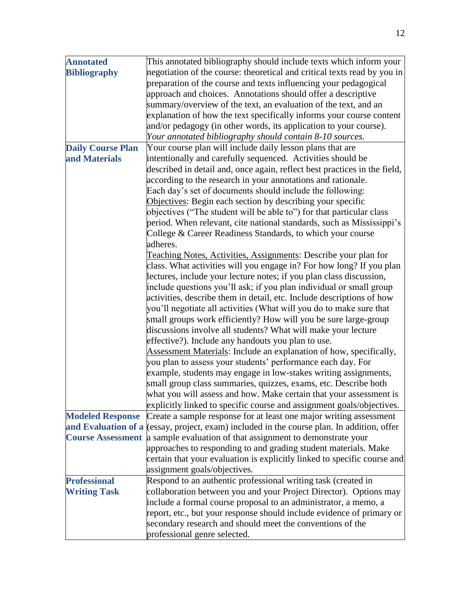| <b>Annotated</b>         | This annotated bibliography should include texts which inform your                         |  |  |  |  |  |  |
|--------------------------|--------------------------------------------------------------------------------------------|--|--|--|--|--|--|
| <b>Bibliography</b>      | negotiation of the course: theoretical and critical texts read by you in                   |  |  |  |  |  |  |
|                          | preparation of the course and texts influencing your pedagogical                           |  |  |  |  |  |  |
|                          | approach and choices. Annotations should offer a descriptive                               |  |  |  |  |  |  |
|                          | summary/overview of the text, an evaluation of the text, and an                            |  |  |  |  |  |  |
|                          | explanation of how the text specifically informs your course content                       |  |  |  |  |  |  |
|                          | and/or pedagogy (in other words, its application to your course).                          |  |  |  |  |  |  |
|                          | Your annotated bibliography should contain 8-10 sources.                                   |  |  |  |  |  |  |
| <b>Daily Course Plan</b> | Your course plan will include daily lesson plans that are                                  |  |  |  |  |  |  |
| and Materials            | intentionally and carefully sequenced. Activities should be                                |  |  |  |  |  |  |
|                          | described in detail and, once again, reflect best practices in the field,                  |  |  |  |  |  |  |
|                          | according to the research in your annotations and rationale.                               |  |  |  |  |  |  |
|                          | Each day's set of documents should include the following:                                  |  |  |  |  |  |  |
|                          | Objectives: Begin each section by describing your specific                                 |  |  |  |  |  |  |
|                          | objectives ("The student will be able to") for that particular class                       |  |  |  |  |  |  |
|                          | period. When relevant, cite national standards, such as Mississippi's                      |  |  |  |  |  |  |
|                          | College & Career Readiness Standards, to which your course                                 |  |  |  |  |  |  |
|                          | adheres.                                                                                   |  |  |  |  |  |  |
|                          | Teaching Notes, Activities, Assignments: Describe your plan for                            |  |  |  |  |  |  |
|                          | class. What activities will you engage in? For how long? If you plan                       |  |  |  |  |  |  |
|                          | lectures, include your lecture notes; if you plan class discussion,                        |  |  |  |  |  |  |
|                          | include questions you'll ask; if you plan individual or small group                        |  |  |  |  |  |  |
|                          | activities, describe them in detail, etc. Include descriptions of how                      |  |  |  |  |  |  |
|                          | you'll negotiate all activities (What will you do to make sure that                        |  |  |  |  |  |  |
|                          | small groups work efficiently? How will you be sure large-group                            |  |  |  |  |  |  |
|                          | discussions involve all students? What will make your lecture                              |  |  |  |  |  |  |
|                          | effective?). Include any handouts you plan to use.                                         |  |  |  |  |  |  |
|                          | Assessment Materials: Include an explanation of how, specifically,                         |  |  |  |  |  |  |
|                          | you plan to assess your students' performance each day. For                                |  |  |  |  |  |  |
|                          | example, students may engage in low-stakes writing assignments,                            |  |  |  |  |  |  |
|                          | small group class summaries, quizzes, exams, etc. Describe both                            |  |  |  |  |  |  |
|                          | what you will assess and how. Make certain that your assessment is                         |  |  |  |  |  |  |
|                          | explicitly linked to specific course and assignment goals/objectives.                      |  |  |  |  |  |  |
| <b>Modeled Response</b>  | Create a sample response for at least one major writing assessment                         |  |  |  |  |  |  |
|                          | and Evaluation of a (essay, project, exam) included in the course plan. In addition, offer |  |  |  |  |  |  |
|                          | Course Assessment a sample evaluation of that assignment to demonstrate your               |  |  |  |  |  |  |
|                          | approaches to responding to and grading student materials. Make                            |  |  |  |  |  |  |
|                          | certain that your evaluation is explicitly linked to specific course and                   |  |  |  |  |  |  |
|                          | assignment goals/objectives.                                                               |  |  |  |  |  |  |
| <b>Professional</b>      | Respond to an authentic professional writing task (created in                              |  |  |  |  |  |  |
| <b>Writing Task</b>      | collaboration between you and your Project Director). Options may                          |  |  |  |  |  |  |
|                          | include a formal course proposal to an administrator, a memo, a                            |  |  |  |  |  |  |
|                          | report, etc., but your response should include evidence of primary or                      |  |  |  |  |  |  |
|                          | secondary research and should meet the conventions of the                                  |  |  |  |  |  |  |
|                          | professional genre selected.                                                               |  |  |  |  |  |  |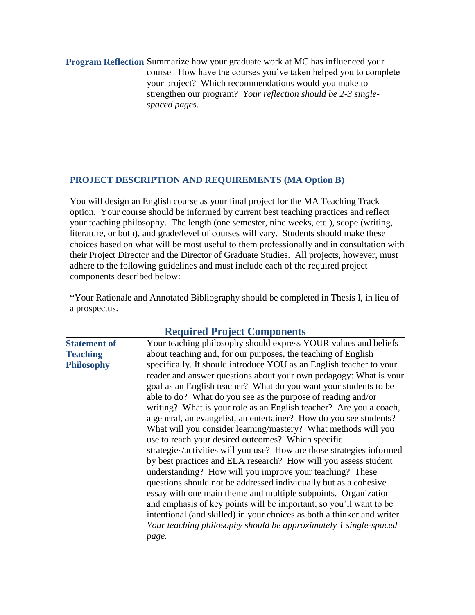| <b>Program Reflection</b> Summarize how your graduate work at MC has influenced your |  |  |  |  |
|--------------------------------------------------------------------------------------|--|--|--|--|
| course How have the courses you've taken helped you to complete                      |  |  |  |  |
| your project? Which recommendations would you make to                                |  |  |  |  |
| strengthen our program? Your reflection should be 2-3 single-                        |  |  |  |  |
| spaced pages.                                                                        |  |  |  |  |

### **PROJECT DESCRIPTION AND REQUIREMENTS (MA Option B)**

You will design an English course as your final project for the MA Teaching Track option. Your course should be informed by current best teaching practices and reflect your teaching philosophy. The length (one semester, nine weeks, etc.), scope (writing, literature, or both), and grade/level of courses will vary. Students should make these choices based on what will be most useful to them professionally and in consultation with their Project Director and the Director of Graduate Studies. All projects, however, must adhere to the following guidelines and must include each of the required project components described below:

\*Your Rationale and Annotated Bibliography should be completed in Thesis I, in lieu of a prospectus.

| <b>Required Project Components</b> |                                                                         |  |  |  |  |  |
|------------------------------------|-------------------------------------------------------------------------|--|--|--|--|--|
| <b>Statement of</b>                | Your teaching philosophy should express YOUR values and beliefs         |  |  |  |  |  |
| <b>Teaching</b>                    | about teaching and, for our purposes, the teaching of English           |  |  |  |  |  |
| <b>Philosophy</b>                  | specifically. It should introduce YOU as an English teacher to your     |  |  |  |  |  |
|                                    | reader and answer questions about your own pedagogy: What is your       |  |  |  |  |  |
|                                    | goal as an English teacher? What do you want your students to be        |  |  |  |  |  |
|                                    | able to do? What do you see as the purpose of reading and/or            |  |  |  |  |  |
|                                    | writing? What is your role as an English teacher? Are you a coach,      |  |  |  |  |  |
|                                    | a general, an evangelist, an entertainer? How do you see students?      |  |  |  |  |  |
|                                    | What will you consider learning/mastery? What methods will you          |  |  |  |  |  |
|                                    | use to reach your desired outcomes? Which specific                      |  |  |  |  |  |
|                                    | strategies/activities will you use? How are those strategies informed   |  |  |  |  |  |
|                                    | by best practices and ELA research? How will you assess student         |  |  |  |  |  |
|                                    | understanding? How will you improve your teaching? These                |  |  |  |  |  |
|                                    | questions should not be addressed individually but as a cohesive        |  |  |  |  |  |
|                                    | essay with one main theme and multiple subpoints. Organization          |  |  |  |  |  |
|                                    | and emphasis of key points will be important, so you'll want to be      |  |  |  |  |  |
|                                    | intentional (and skilled) in your choices as both a thinker and writer. |  |  |  |  |  |
|                                    | Your teaching philosophy should be approximately 1 single-spaced        |  |  |  |  |  |
|                                    | page.                                                                   |  |  |  |  |  |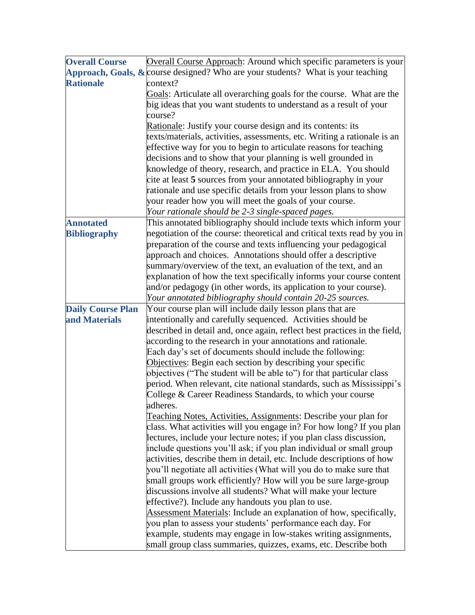| <b>Overall Course</b>    | Overall Course Approach: Around which specific parameters is your                                                                             |  |  |  |  |  |  |  |
|--------------------------|-----------------------------------------------------------------------------------------------------------------------------------------------|--|--|--|--|--|--|--|
|                          | Approach, Goals, $\&$ course designed? Who are your students? What is your teaching                                                           |  |  |  |  |  |  |  |
| <b>Rationale</b>         | context?                                                                                                                                      |  |  |  |  |  |  |  |
|                          | Goals: Articulate all overarching goals for the course. What are the                                                                          |  |  |  |  |  |  |  |
|                          | big ideas that you want students to understand as a result of your                                                                            |  |  |  |  |  |  |  |
|                          | course?                                                                                                                                       |  |  |  |  |  |  |  |
|                          | Rationale: Justify your course design and its contents: its                                                                                   |  |  |  |  |  |  |  |
|                          | texts/materials, activities, assessments, etc. Writing a rationale is an                                                                      |  |  |  |  |  |  |  |
|                          | effective way for you to begin to articulate reasons for teaching                                                                             |  |  |  |  |  |  |  |
|                          | decisions and to show that your planning is well grounded in                                                                                  |  |  |  |  |  |  |  |
|                          | knowledge of theory, research, and practice in ELA. You should                                                                                |  |  |  |  |  |  |  |
|                          | cite at least 5 sources from your annotated bibliography in your                                                                              |  |  |  |  |  |  |  |
|                          | rationale and use specific details from your lesson plans to show                                                                             |  |  |  |  |  |  |  |
|                          | your reader how you will meet the goals of your course.                                                                                       |  |  |  |  |  |  |  |
|                          | Your rationale should be 2-3 single-spaced pages.                                                                                             |  |  |  |  |  |  |  |
| <b>Annotated</b>         | This annotated bibliography should include texts which inform your                                                                            |  |  |  |  |  |  |  |
| <b>Bibliography</b>      | negotiation of the course: theoretical and critical texts read by you in                                                                      |  |  |  |  |  |  |  |
|                          | preparation of the course and texts influencing your pedagogical                                                                              |  |  |  |  |  |  |  |
|                          | approach and choices. Annotations should offer a descriptive                                                                                  |  |  |  |  |  |  |  |
|                          | summary/overview of the text, an evaluation of the text, and an                                                                               |  |  |  |  |  |  |  |
|                          | explanation of how the text specifically informs your course content                                                                          |  |  |  |  |  |  |  |
|                          | and/or pedagogy (in other words, its application to your course).                                                                             |  |  |  |  |  |  |  |
|                          | Your annotated bibliography should contain 20-25 sources.                                                                                     |  |  |  |  |  |  |  |
| <b>Daily Course Plan</b> | Your course plan will include daily lesson plans that are                                                                                     |  |  |  |  |  |  |  |
| and Materials            | intentionally and carefully sequenced. Activities should be                                                                                   |  |  |  |  |  |  |  |
|                          | described in detail and, once again, reflect best practices in the field,                                                                     |  |  |  |  |  |  |  |
|                          | according to the research in your annotations and rationale.                                                                                  |  |  |  |  |  |  |  |
|                          | Each day's set of documents should include the following:                                                                                     |  |  |  |  |  |  |  |
|                          | Objectives: Begin each section by describing your specific                                                                                    |  |  |  |  |  |  |  |
|                          | objectives ("The student will be able to") for that particular class<br>period. When relevant, cite national standards, such as Mississippi's |  |  |  |  |  |  |  |
|                          | College & Career Readiness Standards, to which your course                                                                                    |  |  |  |  |  |  |  |
|                          | adheres.                                                                                                                                      |  |  |  |  |  |  |  |
|                          | Teaching Notes, Activities, Assignments: Describe your plan for                                                                               |  |  |  |  |  |  |  |
|                          | class. What activities will you engage in? For how long? If you plan                                                                          |  |  |  |  |  |  |  |
|                          | lectures, include your lecture notes; if you plan class discussion,                                                                           |  |  |  |  |  |  |  |
|                          | include questions you'll ask; if you plan individual or small group                                                                           |  |  |  |  |  |  |  |
|                          | activities, describe them in detail, etc. Include descriptions of how                                                                         |  |  |  |  |  |  |  |
|                          | you'll negotiate all activities (What will you do to make sure that                                                                           |  |  |  |  |  |  |  |
|                          | small groups work efficiently? How will you be sure large-group                                                                               |  |  |  |  |  |  |  |
|                          | discussions involve all students? What will make your lecture                                                                                 |  |  |  |  |  |  |  |
|                          | effective?). Include any handouts you plan to use.                                                                                            |  |  |  |  |  |  |  |
|                          | Assessment Materials: Include an explanation of how, specifically,                                                                            |  |  |  |  |  |  |  |
|                          | you plan to assess your students' performance each day. For                                                                                   |  |  |  |  |  |  |  |
|                          | example, students may engage in low-stakes writing assignments,                                                                               |  |  |  |  |  |  |  |
|                          | small group class summaries, quizzes, exams, etc. Describe both                                                                               |  |  |  |  |  |  |  |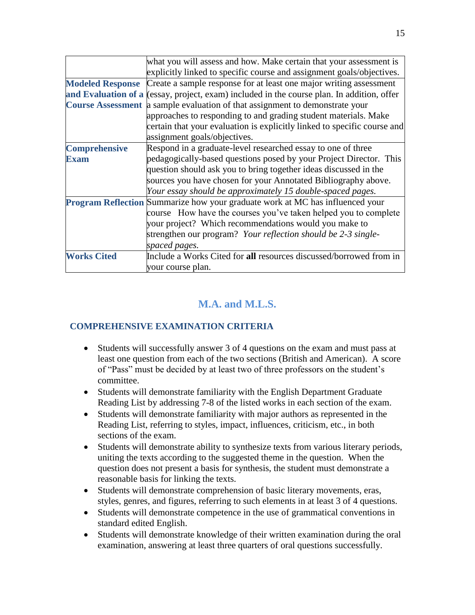|                         | what you will assess and how. Make certain that your assessment is                         |  |  |  |  |  |  |
|-------------------------|--------------------------------------------------------------------------------------------|--|--|--|--|--|--|
|                         | explicitly linked to specific course and assignment goals/objectives.                      |  |  |  |  |  |  |
| <b>Modeled Response</b> | Create a sample response for at least one major writing assessment                         |  |  |  |  |  |  |
|                         | and Evaluation of a (essay, project, exam) included in the course plan. In addition, offer |  |  |  |  |  |  |
|                         | Course Assessment a sample evaluation of that assignment to demonstrate your               |  |  |  |  |  |  |
|                         | approaches to responding to and grading student materials. Make                            |  |  |  |  |  |  |
|                         | certain that your evaluation is explicitly linked to specific course and                   |  |  |  |  |  |  |
|                         | assignment goals/objectives.                                                               |  |  |  |  |  |  |
| <b>Comprehensive</b>    | Respond in a graduate-level researched essay to one of three                               |  |  |  |  |  |  |
| <b>Exam</b>             | pedagogically-based questions posed by your Project Director. This                         |  |  |  |  |  |  |
|                         | question should ask you to bring together ideas discussed in the                           |  |  |  |  |  |  |
|                         | sources you have chosen for your Annotated Bibliography above.                             |  |  |  |  |  |  |
|                         | Your essay should be approximately 15 double-spaced pages.                                 |  |  |  |  |  |  |
|                         | <b>Program Reflection</b> Summarize how your graduate work at MC has influenced your       |  |  |  |  |  |  |
|                         | course How have the courses you've taken helped you to complete                            |  |  |  |  |  |  |
|                         | your project? Which recommendations would you make to                                      |  |  |  |  |  |  |
|                         | strengthen our program? Your reflection should be 2-3 single-                              |  |  |  |  |  |  |
|                         | spaced pages.                                                                              |  |  |  |  |  |  |
| <b>Works Cited</b>      | Include a Works Cited for all resources discussed/borrowed from in                         |  |  |  |  |  |  |
|                         | your course plan.                                                                          |  |  |  |  |  |  |

# **M.A. and M.L.S.**

# **COMPREHENSIVE EXAMINATION CRITERIA**

- Students will successfully answer 3 of 4 questions on the exam and must pass at least one question from each of the two sections (British and American). A score of "Pass" must be decided by at least two of three professors on the student's committee.
- Students will demonstrate familiarity with the English Department Graduate Reading List by addressing 7-8 of the listed works in each section of the exam.
- Students will demonstrate familiarity with major authors as represented in the Reading List, referring to styles, impact, influences, criticism, etc., in both sections of the exam.
- Students will demonstrate ability to synthesize texts from various literary periods, uniting the texts according to the suggested theme in the question. When the question does not present a basis for synthesis, the student must demonstrate a reasonable basis for linking the texts.
- Students will demonstrate comprehension of basic literary movements, eras, styles, genres, and figures, referring to such elements in at least 3 of 4 questions.
- Students will demonstrate competence in the use of grammatical conventions in standard edited English.
- Students will demonstrate knowledge of their written examination during the oral examination, answering at least three quarters of oral questions successfully.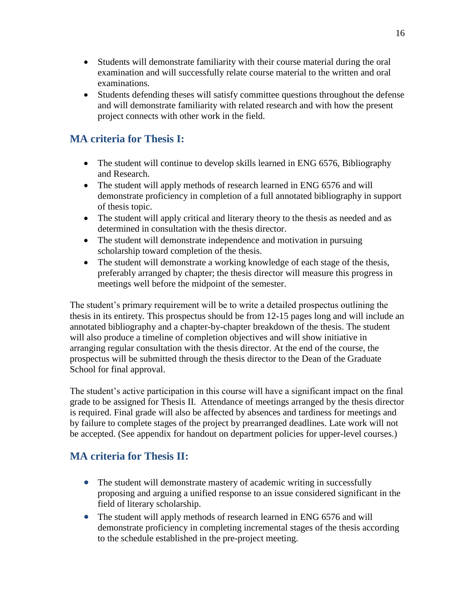- Students will demonstrate familiarity with their course material during the oral examination and will successfully relate course material to the written and oral examinations.
- Students defending theses will satisfy committee questions throughout the defense and will demonstrate familiarity with related research and with how the present project connects with other work in the field.

# **MA criteria for Thesis I:**

- The student will continue to develop skills learned in ENG 6576, Bibliography and Research.
- The student will apply methods of research learned in ENG 6576 and will demonstrate proficiency in completion of a full annotated bibliography in support of thesis topic.
- The student will apply critical and literary theory to the thesis as needed and as determined in consultation with the thesis director.
- The student will demonstrate independence and motivation in pursuing scholarship toward completion of the thesis.
- The student will demonstrate a working knowledge of each stage of the thesis, preferably arranged by chapter; the thesis director will measure this progress in meetings well before the midpoint of the semester.

The student's primary requirement will be to write a detailed prospectus outlining the thesis in its entirety. This prospectus should be from 12-15 pages long and will include an annotated bibliography and a chapter-by-chapter breakdown of the thesis. The student will also produce a timeline of completion objectives and will show initiative in arranging regular consultation with the thesis director. At the end of the course, the prospectus will be submitted through the thesis director to the Dean of the Graduate School for final approval.

The student's active participation in this course will have a significant impact on the final grade to be assigned for Thesis II. Attendance of meetings arranged by the thesis director is required. Final grade will also be affected by absences and tardiness for meetings and by failure to complete stages of the project by prearranged deadlines. Late work will not be accepted. (See appendix for handout on department policies for upper-level courses.)

# **MA criteria for Thesis II:**

- The student will demonstrate mastery of academic writing in successfully proposing and arguing a unified response to an issue considered significant in the field of literary scholarship.
- The student will apply methods of research learned in ENG 6576 and will demonstrate proficiency in completing incremental stages of the thesis according to the schedule established in the pre-project meeting.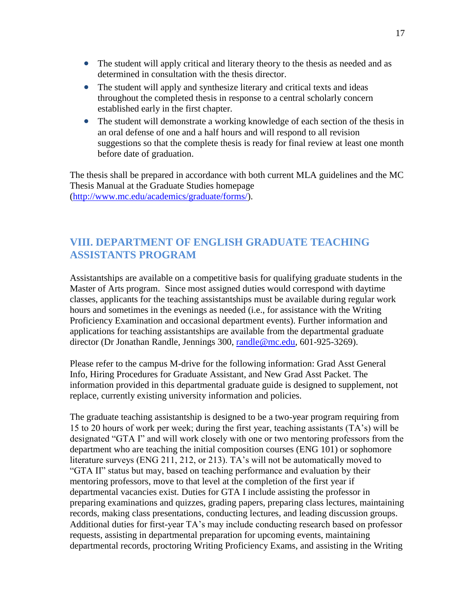- The student will apply critical and literary theory to the thesis as needed and as determined in consultation with the thesis director.
- The student will apply and synthesize literary and critical texts and ideas throughout the completed thesis in response to a central scholarly concern established early in the first chapter.
- The student will demonstrate a working knowledge of each section of the thesis in an oral defense of one and a half hours and will respond to all revision suggestions so that the complete thesis is ready for final review at least one month before date of graduation.

The thesis shall be prepared in accordance with both current MLA guidelines and the MC Thesis Manual at the Graduate Studies homepage [\(http://www.mc.edu/academics/graduate/forms/\)](http://www.mc.edu/academics/graduate/forms/).

# **VIII. DEPARTMENT OF ENGLISH GRADUATE TEACHING ASSISTANTS PROGRAM**

Assistantships are available on a competitive basis for qualifying graduate students in the Master of Arts program. Since most assigned duties would correspond with daytime classes, applicants for the teaching assistantships must be available during regular work hours and sometimes in the evenings as needed (i.e., for assistance with the Writing Proficiency Examination and occasional department events). Further information and applications for teaching assistantships are available from the departmental graduate director (Dr Jonathan Randle, Jennings 300, [randle@mc.edu,](mailto:randle@mc.edu) 601-925-3269).

Please refer to the campus M-drive for the following information: Grad Asst General Info, Hiring Procedures for Graduate Assistant, and New Grad Asst Packet. The information provided in this departmental graduate guide is designed to supplement, not replace, currently existing university information and policies.

The graduate teaching assistantship is designed to be a two-year program requiring from 15 to 20 hours of work per week; during the first year, teaching assistants (TA's) will be designated "GTA I" and will work closely with one or two mentoring professors from the department who are teaching the initial composition courses (ENG 101) or sophomore literature surveys (ENG 211, 212, or 213). TA's will not be automatically moved to "GTA II" status but may, based on teaching performance and evaluation by their mentoring professors, move to that level at the completion of the first year if departmental vacancies exist. Duties for GTA I include assisting the professor in preparing examinations and quizzes, grading papers, preparing class lectures, maintaining records, making class presentations, conducting lectures, and leading discussion groups. Additional duties for first-year TA's may include conducting research based on professor requests, assisting in departmental preparation for upcoming events, maintaining departmental records, proctoring Writing Proficiency Exams, and assisting in the Writing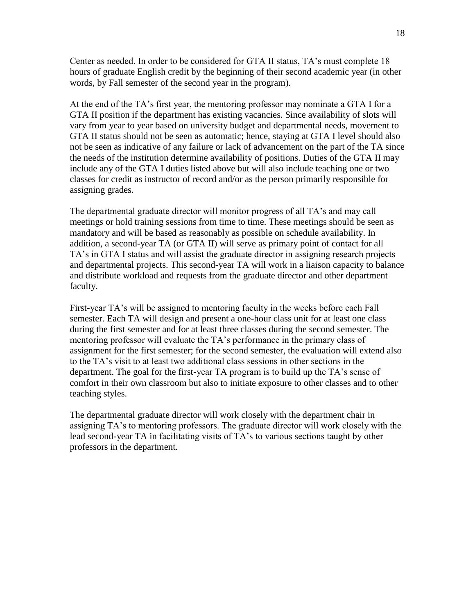Center as needed. In order to be considered for GTA II status, TA's must complete 18 hours of graduate English credit by the beginning of their second academic year (in other words, by Fall semester of the second year in the program).

At the end of the TA's first year, the mentoring professor may nominate a GTA I for a GTA II position if the department has existing vacancies. Since availability of slots will vary from year to year based on university budget and departmental needs, movement to GTA II status should not be seen as automatic; hence, staying at GTA I level should also not be seen as indicative of any failure or lack of advancement on the part of the TA since the needs of the institution determine availability of positions. Duties of the GTA II may include any of the GTA I duties listed above but will also include teaching one or two classes for credit as instructor of record and/or as the person primarily responsible for assigning grades.

The departmental graduate director will monitor progress of all TA's and may call meetings or hold training sessions from time to time. These meetings should be seen as mandatory and will be based as reasonably as possible on schedule availability. In addition, a second-year TA (or GTA II) will serve as primary point of contact for all TA's in GTA I status and will assist the graduate director in assigning research projects and departmental projects. This second-year TA will work in a liaison capacity to balance and distribute workload and requests from the graduate director and other department faculty.

First-year TA's will be assigned to mentoring faculty in the weeks before each Fall semester. Each TA will design and present a one-hour class unit for at least one class during the first semester and for at least three classes during the second semester. The mentoring professor will evaluate the TA's performance in the primary class of assignment for the first semester; for the second semester, the evaluation will extend also to the TA's visit to at least two additional class sessions in other sections in the department. The goal for the first-year TA program is to build up the TA's sense of comfort in their own classroom but also to initiate exposure to other classes and to other teaching styles.

The departmental graduate director will work closely with the department chair in assigning TA's to mentoring professors. The graduate director will work closely with the lead second-year TA in facilitating visits of TA's to various sections taught by other professors in the department.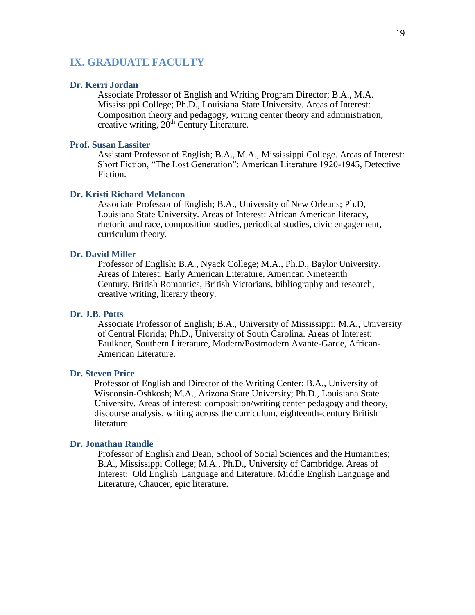#### **IX. GRADUATE FACULTY**

#### **Dr. Kerri Jordan**

Associate Professor of English and Writing Program Director; B.A., M.A. Mississippi College; Ph.D., Louisiana State University. Areas of Interest: Composition theory and pedagogy, writing center theory and administration, creative writing,  $20<sup>th</sup>$  Century Literature.

#### **Prof. Susan Lassiter**

Assistant Professor of English; B.A., M.A., Mississippi College. Areas of Interest: Short Fiction, "The Lost Generation": American Literature 1920-1945, Detective Fiction.

#### **Dr. Kristi Richard Melancon**

Associate Professor of English; B.A., University of New Orleans; Ph.D, Louisiana State University. Areas of Interest: African American literacy, rhetoric and race, composition studies, periodical studies, civic engagement, curriculum theory.

#### **Dr. David Miller**

Professor of English; B.A., Nyack College; M.A., Ph.D., Baylor University. Areas of Interest: Early American Literature, American Nineteenth Century, British Romantics, British Victorians, bibliography and research, creative writing, literary theory.

#### **Dr. J.B. Potts**

Associate Professor of English; B.A., University of Mississippi; M.A., University of Central Florida; Ph.D., University of South Carolina. Areas of Interest: Faulkner, Southern Literature, Modern/Postmodern Avante-Garde, African-American Literature.

#### **Dr. Steven Price**

Professor of English and Director of the Writing Center; B.A., University of Wisconsin-Oshkosh; M.A., Arizona State University; Ph.D., Louisiana State University. Areas of interest: composition/writing center pedagogy and theory, discourse analysis, writing across the curriculum, eighteenth-century British literature.

#### **Dr. Jonathan Randle**

Professor of English and Dean, School of Social Sciences and the Humanities; B.A., Mississippi College; M.A., Ph.D., University of Cambridge. Areas of Interest: Old English Language and Literature, Middle English Language and Literature, Chaucer, epic literature.